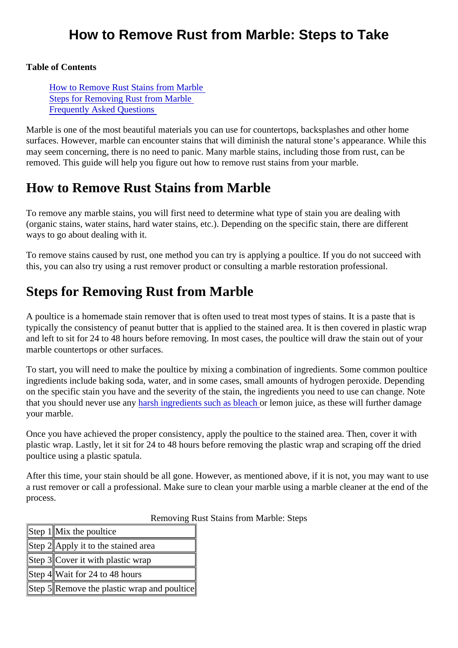Table of Contents

How to Remove Rust Stains from Marble Steps for Removing Rust from Marble [Frequently Asked Question](#page-1-0)s

Marble is one of the most beautiful materials you can use for countertops, backsplashes and other home surfaces. However, marble can encounter stains that will diminish the natural stone's appearance. While the may seem concerning, there is no need to panic. Many marble stains, including those from rust, can be removed. This guide will help you figure out how to remove rust stains from your marble.

## How to Remove Rust Stains from Marble

To remove any marble stains, you will first need to determine what type of stain you are dealing with (organic stains, water stains, hard water stains, etc.). Depending on the specific stain, there are different ways to go about dealing with it.

To remove stains caused by rust, one method you can try is applying a poultice. If you do not succeed with this, you can also try using a rust remover product or consulting a marble restoration professional.

# Steps for Removing Rust from Marble

A poultice is a homemade stain remover that is often used to treat most types of stains. It is a paste that is typically the consistency of peanut butter that is applied to the stained area. It is then covered in plastic wr and left to sit for 24 to 48 hours before removing. In most cases, the poultice will draw the stain out of your marble countertops or other surfaces.

To start, you will need to make the poultice by mixing a combination of ingredients. Some common poultice ingredients include baking soda, water, and in some cases, small amounts of hydrogen peroxide. Depend on the specific stain you have and the severity of the stain, the ingredients you need to use can change. Note that y[o](https://www.thoughtco.com/how-does-bleach-work-604290)u should never use alnow the ingredients such as blear themon juice, as these will further damage your marble.

Once you have achieved the proper consistency, apply the poultice to the stained area. Then, cover it with plastic wrap. Lastly, let it sit for 24 to 48 hours before removing the plastic wrap and scraping off the dried poultice using a plastic spatula.

After this time, your stain should be all gone. However, as mentioned above, if it is not, you may want to us a rust remover or call a professional. Make sure to clean your marble using a marble cleaner at the end of process.

Removing Rust Stains from Marble: Steps

| Step 1Mix the poultice                     |  |
|--------------------------------------------|--|
| Step #Apply it to the stained area         |  |
| Step <b>3</b> Cover it with plastic wrap   |  |
| Step 4 Wait for 24 to 48 hours             |  |
| Step #Remove the plastic wrap and poul#ice |  |